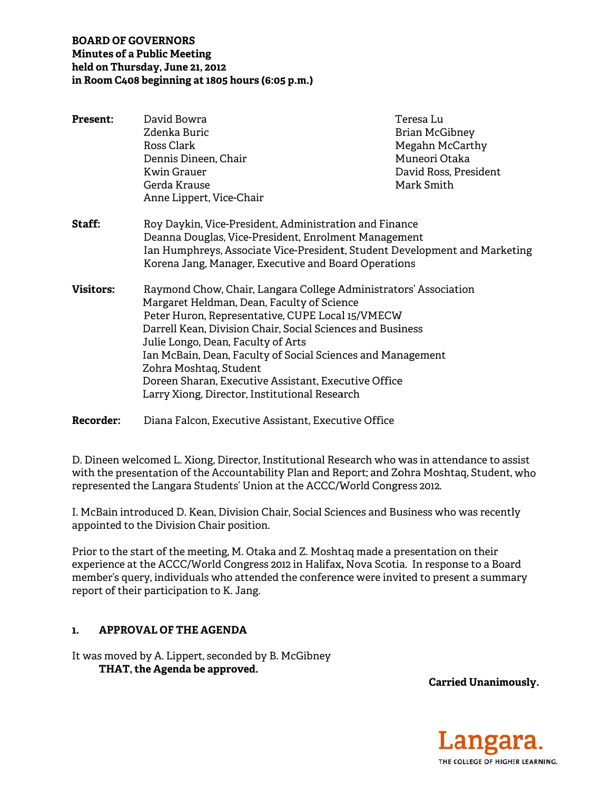## **BOARD OF GOVERNORS Minutes of a Public Meeting** held on Thursday, June 21, 2012 in Room C408 beginning at 1805 hours (6:05 p.m.)

| <b>Present:</b>  | David Bowra                                                                                                                                                                                                                                                                                                                                                                                                                                                              | Teresa Lu             |
|------------------|--------------------------------------------------------------------------------------------------------------------------------------------------------------------------------------------------------------------------------------------------------------------------------------------------------------------------------------------------------------------------------------------------------------------------------------------------------------------------|-----------------------|
|                  | Zdenka Buric                                                                                                                                                                                                                                                                                                                                                                                                                                                             | Brian McGibney        |
|                  | Ross Clark                                                                                                                                                                                                                                                                                                                                                                                                                                                               | Megahn McCarthy       |
|                  | Dennis Dineen, Chair                                                                                                                                                                                                                                                                                                                                                                                                                                                     | Muneori Otaka         |
|                  | Kwin Grauer                                                                                                                                                                                                                                                                                                                                                                                                                                                              | David Ross, President |
|                  | Gerda Krause                                                                                                                                                                                                                                                                                                                                                                                                                                                             | Mark Smith            |
|                  | Anne Lippert, Vice-Chair                                                                                                                                                                                                                                                                                                                                                                                                                                                 |                       |
| Staff:           | Roy Daykin, Vice-President, Administration and Finance<br>Deanna Douglas, Vice-President, Enrolment Management<br>Ian Humphreys, Associate Vice-President, Student Development and Marketing<br>Korena Jang, Manager, Executive and Board Operations                                                                                                                                                                                                                     |                       |
| <b>Visitors:</b> | Raymond Chow, Chair, Langara College Administrators' Association<br>Margaret Heldman, Dean, Faculty of Science<br>Peter Huron, Representative, CUPE Local 15/VMECW<br>Darrell Kean, Division Chair, Social Sciences and Business<br>Julie Longo, Dean, Faculty of Arts<br>Ian McBain, Dean, Faculty of Social Sciences and Management<br>Zohra Moshtaq, Student<br>Doreen Sharan, Executive Assistant, Executive Office<br>Larry Xiong, Director, Institutional Research |                       |
| <b>Recorder:</b> | Diana Falcon, Executive Assistant, Executive Office                                                                                                                                                                                                                                                                                                                                                                                                                      |                       |

D. Dineen welcomed L. Xiong, Director, Institutional Research who was in attendance to assist with the presentation of the Accountability Plan and Report; and Zohra Moshtag, Student, who represented the Langara Students' Union at the ACCC/World Congress 2012.

I. McBain introduced D. Kean, Division Chair, Social Sciences and Business who was recently appointed to the Division Chair position.

Prior to the start of the meeting, M. Otaka and Z. Moshtaq made a presentation on their experience at the ACCC/World Congress 2012 in Halifax, Nova Scotia. In response to a Board member's query, individuals who attended the conference were invited to present a summary report of their participation to K. Jang.

#### $\mathbf{1}$ . **APPROVAL OF THE AGENDA**

It was moved by A. Lippert, seconded by B. McGibney THAT, the Agenda be approved.

**Carried Unanimously.** 

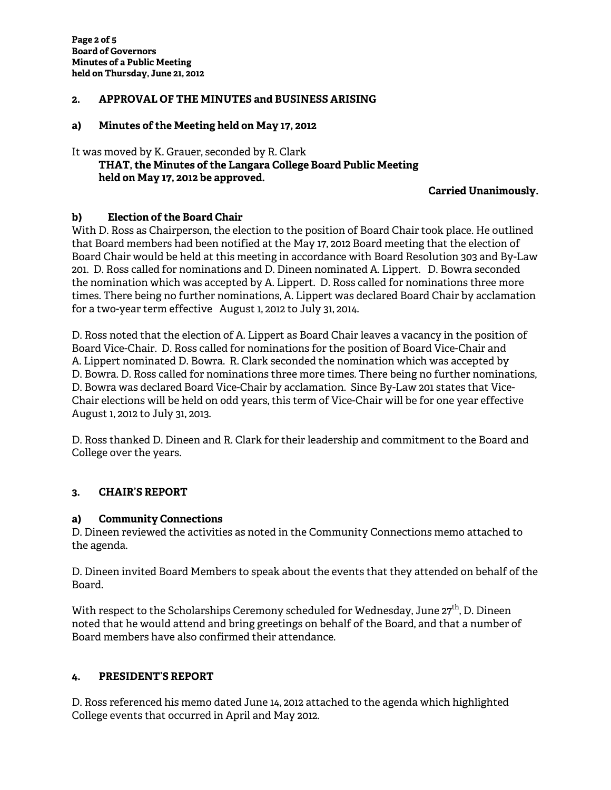# **2. APPROVAL OF THE MINUTES and BUSINESS ARISING**

## **a) Minutes of the Meeting held on May 17, 2012**

It was moved by K. Grauer, seconded by R. Clark  **THAT, the Minutes of the Langara College Board Public Meeting** 

 **held on May 17, 2012 be approved.** 

## **Carried Unanimously.**

# **b) Election of the Board Chair**

With D. Ross as Chairperson, the election to the position of Board Chair took place. He outlined that Board members had been notified at the May 17, 2012 Board meeting that the election of Board Chair would be held at this meeting in accordance with Board Resolution 303 and By-Law 201. D. Ross called for nominations and D. Dineen nominated A. Lippert. D. Bowra seconded the nomination which was accepted by A. Lippert. D. Ross called for nominations three more times. There being no further nominations, A. Lippert was declared Board Chair by acclamation for a two-year term effective August 1, 2012 to July 31, 2014.

D. Ross noted that the election of A. Lippert as Board Chair leaves a vacancy in the position of Board Vice-Chair. D. Ross called for nominations for the position of Board Vice-Chair and A. Lippert nominated D. Bowra. R. Clark seconded the nomination which was accepted by D. Bowra. D. Ross called for nominations three more times. There being no further nominations, D. Bowra was declared Board Vice-Chair by acclamation. Since By-Law 201 states that Vice-Chair elections will be held on odd years, this term of Vice-Chair will be for one year effective August 1, 2012 to July 31, 2013.

D. Ross thanked D. Dineen and R. Clark for their leadership and commitment to the Board and College over the years.

# **3. CHAIR'S REPORT**

## **a) Community Connections**

D. Dineen reviewed the activities as noted in the Community Connections memo attached to the agenda.

D. Dineen invited Board Members to speak about the events that they attended on behalf of the Board.

With respect to the Scholarships Ceremony scheduled for Wednesday, June 27<sup>th</sup>, D. Dineen noted that he would attend and bring greetings on behalf of the Board, and that a number of Board members have also confirmed their attendance.

## **4. PRESIDENT'S REPORT**

D. Ross referenced his memo dated June 14, 2012 attached to the agenda which highlighted College events that occurred in April and May 2012.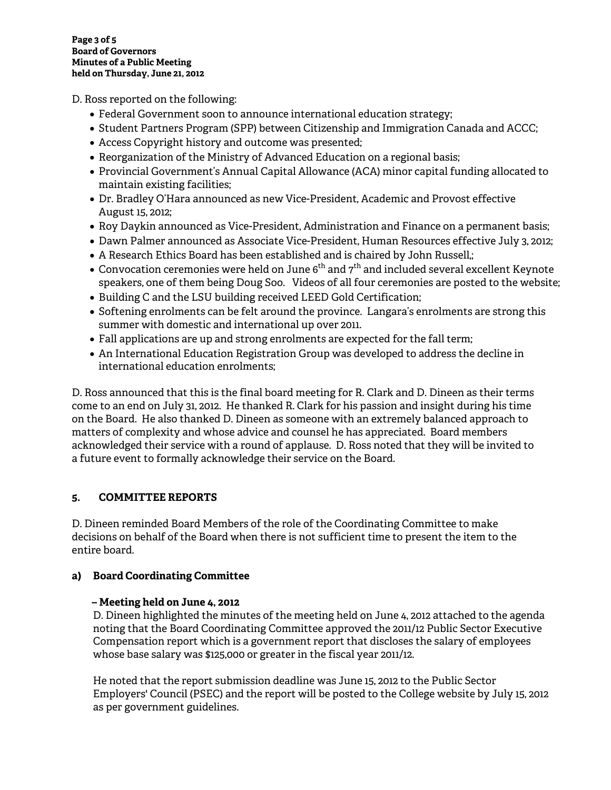D. Ross reported on the following:

- Federal Government soon to announce international education strategy;
- Student Partners Program (SPP) between Citizenship and Immigration Canada and ACCC;
- Access Copyright history and outcome was presented;
- Reorganization of the Ministry of Advanced Education on a regional basis;
- Provincial Government's Annual Capital Allowance (ACA) minor capital funding allocated to maintain existing facilities;
- Dr. Bradley O'Hara announced as new Vice-President, Academic and Provost effective August 15, 2012;
- Roy Daykin announced as Vice-President, Administration and Finance on a permanent basis;
- Dawn Palmer announced as Associate Vice-President, Human Resources effective July 3, 2012;
- A Research Ethics Board has been established and is chaired by John Russell,;
- $\bullet$  Convocation ceremonies were held on June 6<sup>th</sup> and  $7^{th}$  and included several excellent Keynote speakers, one of them being Doug Soo. Videos of all four ceremonies are posted to the website;
- Building C and the LSU building received LEED Gold Certification;
- Softening enrolments can be felt around the province. Langara's enrolments are strong this summer with domestic and international up over 2011.
- Fall applications are up and strong enrolments are expected for the fall term;
- An International Education Registration Group was developed to address the decline in international education enrolments;

D. Ross announced that this is the final board meeting for R. Clark and D. Dineen as their terms come to an end on July 31, 2012. He thanked R. Clark for his passion and insight during his time on the Board. He also thanked D. Dineen as someone with an extremely balanced approach to matters of complexity and whose advice and counsel he has appreciated. Board members acknowledged their service with a round of applause. D. Ross noted that they will be invited to a future event to formally acknowledge their service on the Board.

# **5. COMMITTEE REPORTS**

D. Dineen reminded Board Members of the role of the Coordinating Committee to make decisions on behalf of the Board when there is not sufficient time to present the item to the entire board.

# **a) Board Coordinating Committee**

# **– Meeting held on June 4, 2012**

D. Dineen highlighted the minutes of the meeting held on June 4, 2012 attached to the agenda noting that the Board Coordinating Committee approved the 2011/12 Public Sector Executive Compensation report which is a government report that discloses the salary of employees whose base salary was \$125,000 or greater in the fiscal year 2011/12.

He noted that the report submission deadline was June 15, 2012 to the Public Sector Employers' Council (PSEC) and the report will be posted to the College website by July 15, 2012 as per government guidelines.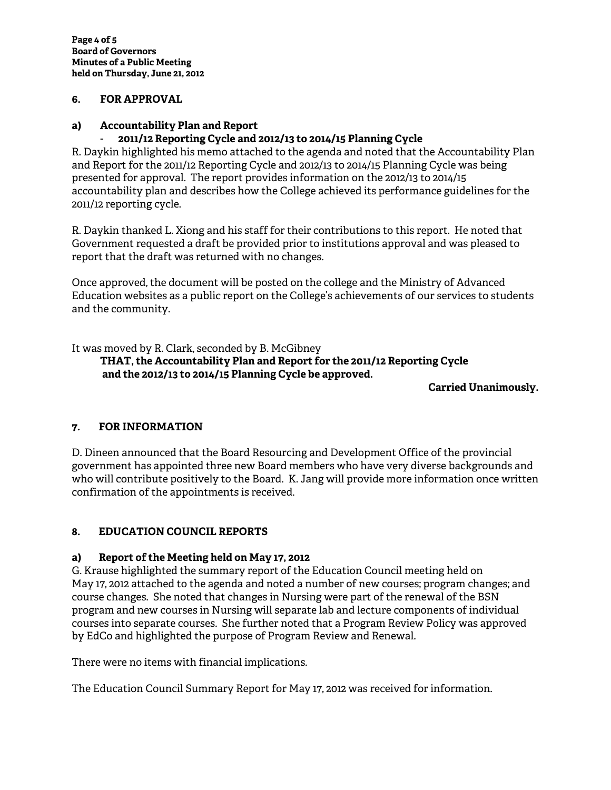## **6. FOR APPROVAL**

# **a) Accountability Plan and Report**

# - **2011/12 Reporting Cycle and 2012/13 to 2014/15 Planning Cycle**

R. Daykin highlighted his memo attached to the agenda and noted that the Accountability Plan and Report for the 2011/12 Reporting Cycle and 2012/13 to 2014/15 Planning Cycle was being presented for approval. The report provides information on the 2012/13 to 2014/15 accountability plan and describes how the College achieved its performance guidelines for the 2011/12 reporting cycle.

R. Daykin thanked L. Xiong and his staff for their contributions to this report. He noted that Government requested a draft be provided prior to institutions approval and was pleased to report that the draft was returned with no changes.

Once approved, the document will be posted on the college and the Ministry of Advanced Education websites as a public report on the College's achievements of our services to students and the community.

It was moved by R. Clark, seconded by B. McGibney

 **THAT, the Accountability Plan and Report for the 2011/12 Reporting Cycle and the 2012/13 to 2014/15 Planning Cycle be approved.** 

**Carried Unanimously.** 

# **7. FOR INFORMATION**

D. Dineen announced that the Board Resourcing and Development Office of the provincial government has appointed three new Board members who have very diverse backgrounds and who will contribute positively to the Board. K. Jang will provide more information once written confirmation of the appointments is received.

# **8. EDUCATION COUNCIL REPORTS**

# **a) Report of the Meeting held on May 17, 2012**

G. Krause highlighted the summary report of the Education Council meeting held on May 17, 2012 attached to the agenda and noted a number of new courses; program changes; and course changes. She noted that changes in Nursing were part of the renewal of the BSN program and new courses in Nursing will separate lab and lecture components of individual courses into separate courses. She further noted that a Program Review Policy was approved by EdCo and highlighted the purpose of Program Review and Renewal.

There were no items with financial implications.

The Education Council Summary Report for May 17, 2012 was received for information.